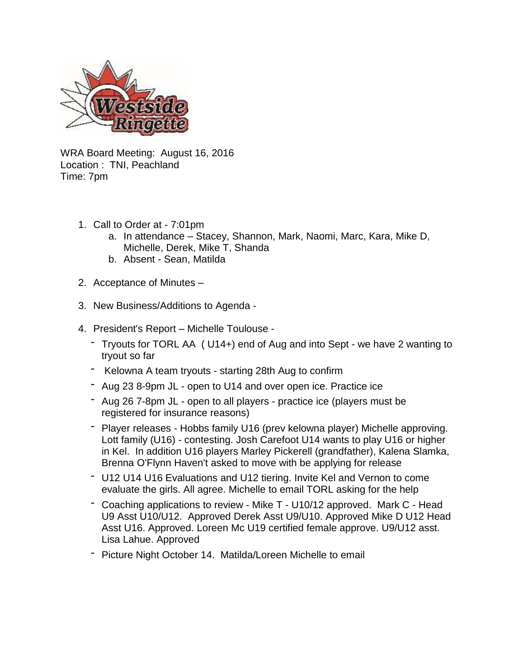

WRA Board Meeting: August 16, 2016 Location : TNI, Peachland Time: 7pm

- 1. Call to Order at 7:01pm
	- a. In attendance Stacey, Shannon, Mark, Naomi, Marc, Kara, Mike D, Michelle, Derek, Mike T, Shanda
	- b. Absent Sean, Matilda
- 2. Acceptance of Minutes –
- 3. New Business/Additions to Agenda -
- 4. President's Report Michelle Toulouse
	- Tryouts for TORL AA ( U14+) end of Aug and into Sept we have 2 wanting to tryout so far
	- Kelowna A team tryouts starting 28th Aug to confirm
	- Aug 23 8-9pm JL open to U14 and over open ice. Practice ice
	- Aug 26 7-8pm JL open to all players practice ice (players must be registered for insurance reasons)
	- Player releases Hobbs family U16 (prev kelowna player) Michelle approving. Lott family (U16) - contesting. Josh Carefoot U14 wants to play U16 or higher in Kel. In addition U16 players Marley Pickerell (grandfather), Kalena Slamka, Brenna O'Flynn Haven't asked to move with be applying for release
	- U12 U14 U16 Evaluations and U12 tiering. Invite Kel and Vernon to come evaluate the girls. All agree. Michelle to email TORL asking for the help
	- Coaching applications to review Mike T U10/12 approved. Mark C Head U9 Asst U10/U12. Approved Derek Asst U9/U10. Approved Mike D U12 Head Asst U16. Approved. Loreen Mc U19 certified female approve. U9/U12 asst. Lisa Lahue. Approved
	- Picture Night October 14. Matilda/Loreen Michelle to email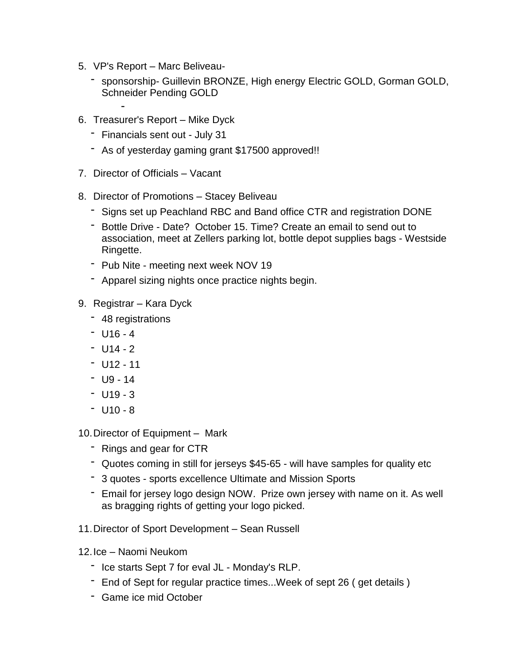5. VP's Report – Marc Beliveau-

-

- sponsorship- Guillevin BRONZE, High energy Electric GOLD, Gorman GOLD, Schneider Pending GOLD
- 6. Treasurer's Report Mike Dyck
	- Financials sent out July 31
	- As of yesterday gaming grant \$17500 approved!!
- 7. Director of Officials Vacant
- 8. Director of Promotions Stacey Beliveau
	- Signs set up Peachland RBC and Band office CTR and registration DONE
	- Bottle Drive Date? October 15. Time? Create an email to send out to association, meet at Zellers parking lot, bottle depot supplies bags - Westside Ringette.
	- Pub Nite meeting next week NOV 19
	- Apparel sizing nights once practice nights begin.
- 9. Registrar Kara Dyck
	- 48 registrations
	- $-$  U16 4
	- $U14 2$
	- $-$  U12 11
	- $-$  U9 14
	- $-$  U19 3
	- $-$  U10 8

10.Director of Equipment *–* Mark

- Rings and gear for CTR
- Quotes coming in still for jerseys \$45-65 will have samples for quality etc
- 3 quotes sports excellence Ultimate and Mission Sports
- Email for jersey logo design NOW. Prize own jersey with name on it. As well as bragging rights of getting your logo picked.
- 11.Director of Sport Development Sean Russell
- 12.Ice Naomi Neukom
	- Ice starts Sept 7 for eval JL Monday's RLP.
	- End of Sept for regular practice times...Week of sept 26 (get details)
	- Game ice mid October